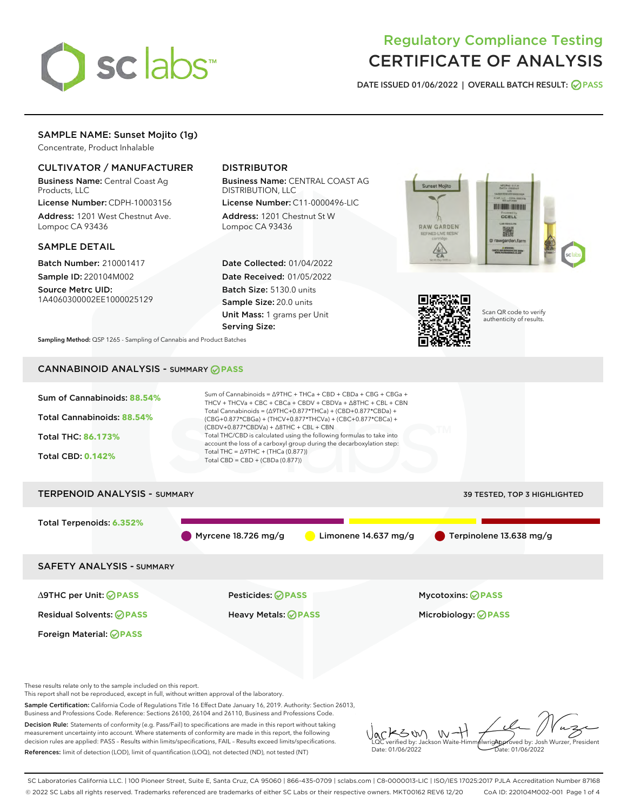

# Regulatory Compliance Testing CERTIFICATE OF ANALYSIS

DATE ISSUED 01/06/2022 | OVERALL BATCH RESULT: @ PASS

## SAMPLE NAME: Sunset Mojito (1g)

Concentrate, Product Inhalable

## CULTIVATOR / MANUFACTURER

Business Name: Central Coast Ag Products, LLC

License Number: CDPH-10003156 Address: 1201 West Chestnut Ave. Lompoc CA 93436

#### SAMPLE DETAIL

Batch Number: 210001417 Sample ID: 220104M002

Source Metrc UID: 1A4060300002EE1000025129

## DISTRIBUTOR

Business Name: CENTRAL COAST AG DISTRIBUTION, LLC

License Number: C11-0000496-LIC Address: 1201 Chestnut St W Lompoc CA 93436

Date Collected: 01/04/2022 Date Received: 01/05/2022 Batch Size: 5130.0 units Sample Size: 20.0 units Unit Mass: 1 grams per Unit Serving Size:





Scan QR code to verify authenticity of results.

Sampling Method: QSP 1265 - Sampling of Cannabis and Product Batches

## CANNABINOID ANALYSIS - SUMMARY **PASS**



Decision Rule: Statements of conformity (e.g. Pass/Fail) to specifications are made in this report without taking measurement uncertainty into account. Where statements of conformity are made in this report, the following decision rules are applied: PASS – Results within limits/specifications, FAIL – Results exceed limits/specifications. References: limit of detection (LOD), limit of quantification (LOQ), not detected (ND), not tested (NT)

KSW  $W$ Approved by: Josh Wurzer, President LQC verified by: Jackson Waite-Himmelwright Date: 01/06/2022 Date: 01/06/2022

SC Laboratories California LLC. | 100 Pioneer Street, Suite E, Santa Cruz, CA 95060 | 866-435-0709 | sclabs.com | C8-0000013-LIC | ISO/IES 17025:2017 PJLA Accreditation Number 87168 © 2022 SC Labs all rights reserved. Trademarks referenced are trademarks of either SC Labs or their respective owners. MKT00162 REV6 12/20 CoA ID: 220104M002-001 Page 1 of 4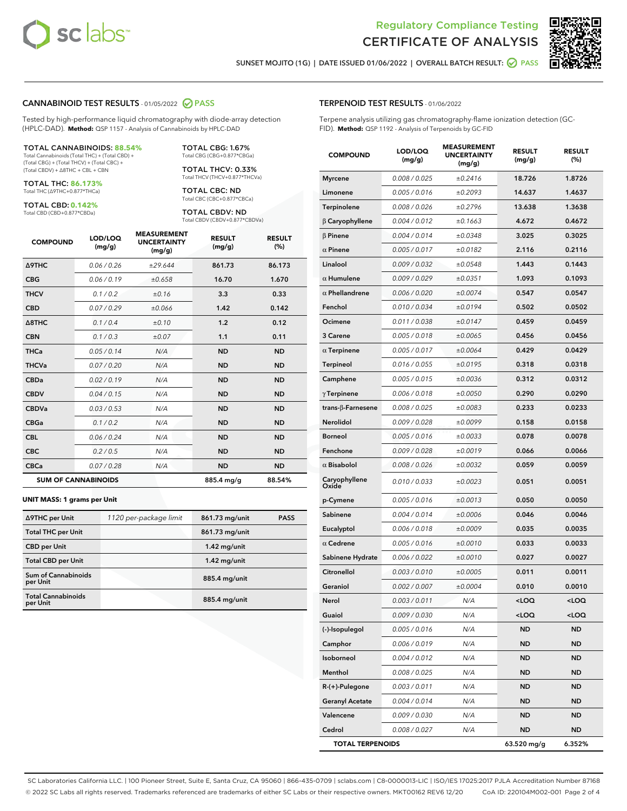



SUNSET MOJITO (1G) | DATE ISSUED 01/06/2022 | OVERALL BATCH RESULT: @ PASS

#### CANNABINOID TEST RESULTS - 01/05/2022 2 PASS

Tested by high-performance liquid chromatography with diode-array detection (HPLC-DAD). **Method:** QSP 1157 - Analysis of Cannabinoids by HPLC-DAD

#### TOTAL CANNABINOIDS: **88.54%**

Total Cannabinoids (Total THC) + (Total CBD) + (Total CBG) + (Total THCV) + (Total CBC) + (Total CBDV) + ∆8THC + CBL + CBN

TOTAL THC: **86.173%** Total THC (∆9THC+0.877\*THCa)

TOTAL CBD: **0.142%**

Total CBD (CBD+0.877\*CBDa)

TOTAL CBG: 1.67% Total CBG (CBG+0.877\*CBGa)

TOTAL THCV: 0.33% Total THCV (THCV+0.877\*THCVa)

TOTAL CBC: ND Total CBC (CBC+0.877\*CBCa)

TOTAL CBDV: ND Total CBDV (CBDV+0.877\*CBDVa)

| <b>COMPOUND</b>  | LOD/LOQ<br>(mg/g)          | <b>MEASUREMENT</b><br><b>UNCERTAINTY</b><br>(mg/g) | <b>RESULT</b><br>(mg/g) | <b>RESULT</b><br>(%) |
|------------------|----------------------------|----------------------------------------------------|-------------------------|----------------------|
| <b>A9THC</b>     | 0.06/0.26                  | ±29.644                                            | 861.73                  | 86.173               |
| <b>CBG</b>       | 0.06/0.19                  | ±0.658                                             | 16.70                   | 1.670                |
| <b>THCV</b>      | 0.1/0.2                    | ±0.16                                              | 3.3                     | 0.33                 |
| <b>CBD</b>       | 0.07/0.29                  | ±0.066                                             | 1.42                    | 0.142                |
| $\triangle$ 8THC | 0.1/0.4                    | ±0.10                                              | 1.2                     | 0.12                 |
| <b>CBN</b>       | 0.1 / 0.3                  | ±0.07                                              | 1.1                     | 0.11                 |
| <b>THCa</b>      | 0.05/0.14                  | N/A                                                | <b>ND</b>               | <b>ND</b>            |
| <b>THCVa</b>     | 0.07/0.20                  | N/A                                                | <b>ND</b>               | <b>ND</b>            |
| <b>CBDa</b>      | 0.02/0.19                  | N/A                                                | <b>ND</b>               | <b>ND</b>            |
| <b>CBDV</b>      | 0.04/0.15                  | N/A                                                | <b>ND</b>               | <b>ND</b>            |
| <b>CBDVa</b>     | 0.03/0.53                  | N/A                                                | <b>ND</b>               | <b>ND</b>            |
| <b>CBGa</b>      | 0.1 / 0.2                  | N/A                                                | <b>ND</b>               | <b>ND</b>            |
| <b>CBL</b>       | 0.06 / 0.24                | N/A                                                | <b>ND</b>               | <b>ND</b>            |
| <b>CBC</b>       | 0.2 / 0.5                  | N/A                                                | <b>ND</b>               | <b>ND</b>            |
| <b>CBCa</b>      | 0.07/0.28                  | N/A                                                | <b>ND</b>               | <b>ND</b>            |
|                  | <b>SUM OF CANNABINOIDS</b> |                                                    | 885.4 mg/g              | 88.54%               |

#### **UNIT MASS: 1 grams per Unit**

| ∆9THC per Unit                         | 1120 per-package limit | 861.73 mg/unit | <b>PASS</b> |
|----------------------------------------|------------------------|----------------|-------------|
| <b>Total THC per Unit</b>              |                        | 861.73 mg/unit |             |
| <b>CBD per Unit</b>                    |                        | $1.42$ mg/unit |             |
| <b>Total CBD per Unit</b>              |                        | $1.42$ mg/unit |             |
| <b>Sum of Cannabinoids</b><br>per Unit |                        | 885.4 mg/unit  |             |
| <b>Total Cannabinoids</b><br>per Unit  |                        | 885.4 mg/unit  |             |

| <b>COMPOUND</b>           | LOD/LOQ<br>(mg/g) | <b>MEASUREMENT</b><br><b>UNCERTAINTY</b><br>(mg/g) | <b>RESULT</b><br>(mg/g)                         | <b>RESULT</b><br>(%) |
|---------------------------|-------------------|----------------------------------------------------|-------------------------------------------------|----------------------|
| <b>Myrcene</b>            | 0.008 / 0.025     | ±0.2416                                            | 18.726                                          | 1.8726               |
| Limonene                  | 0.005 / 0.016     | ±0.2093                                            | 14.637                                          | 1.4637               |
| Terpinolene               | 0.008 / 0.026     | ±0.2796                                            | 13.638                                          | 1.3638               |
| $\beta$ Caryophyllene     | 0.004 / 0.012     | ±0.1663                                            | 4.672                                           | 0.4672               |
| $\beta$ Pinene            | 0.004 / 0.014     | ±0.0348                                            | 3.025                                           | 0.3025               |
| $\alpha$ Pinene           | 0.005 / 0.017     | ±0.0182                                            | 2.116                                           | 0.2116               |
| Linalool                  | 0.009 / 0.032     | ±0.0548                                            | 1.443                                           | 0.1443               |
| $\alpha$ Humulene         | 0.009/0.029       | ±0.0351                                            | 1.093                                           | 0.1093               |
| $\alpha$ Phellandrene     | 0.006 / 0.020     | ±0.0074                                            | 0.547                                           | 0.0547               |
| Fenchol                   | 0.010 / 0.034     | ±0.0194                                            | 0.502                                           | 0.0502               |
| Ocimene                   | 0.011 / 0.038     | ±0.0147                                            | 0.459                                           | 0.0459               |
| 3 Carene                  | 0.005 / 0.018     | ±0.0065                                            | 0.456                                           | 0.0456               |
| $\alpha$ Terpinene        | 0.005 / 0.017     | ±0.0064                                            | 0.429                                           | 0.0429               |
| Terpineol                 | 0.016 / 0.055     | ±0.0195                                            | 0.318                                           | 0.0318               |
| Camphene                  | 0.005 / 0.015     | ±0.0036                                            | 0.312                                           | 0.0312               |
| $\gamma$ Terpinene        | 0.006 / 0.018     | ±0.0050                                            | 0.290                                           | 0.0290               |
| trans- $\beta$ -Farnesene | 0.008 / 0.025     | ±0.0083                                            | 0.233                                           | 0.0233               |
| Nerolidol                 | 0.009 / 0.028     | ±0.0099                                            | 0.158                                           | 0.0158               |
| <b>Borneol</b>            | 0.005 / 0.016     | ±0.0033                                            | 0.078                                           | 0.0078               |
| Fenchone                  | 0.009 / 0.028     | ±0.0019                                            | 0.066                                           | 0.0066               |
| $\alpha$ Bisabolol        | 0.008 / 0.026     | ±0.0032                                            | 0.059                                           | 0.0059               |
| Caryophyllene<br>Oxide    | 0.010 / 0.033     | ±0.0023                                            | 0.051                                           | 0.0051               |
| p-Cymene                  | 0.005 / 0.016     | ±0.0013                                            | 0.050                                           | 0.0050               |
| Sabinene                  | 0.004 / 0.014     | ±0.0006                                            | 0.046                                           | 0.0046               |
| Eucalyptol                | 0.006 / 0.018     | ±0.0009                                            | 0.035                                           | 0.0035               |
| $\alpha$ Cedrene          | 0.005 / 0.016     | ±0.0010                                            | 0.033                                           | 0.0033               |
| Sabinene Hydrate          | 0.006 / 0.022     | ±0.0010                                            | 0.027                                           | 0.0027               |
| Citronellol               | 0.003 / 0.010     | ±0.0005                                            | 0.011                                           | 0.0011               |
| Geraniol                  | 0.002 / 0.007     | ±0.0004                                            | 0.010                                           | 0.0010               |
| Nerol                     | 0.003 / 0.011     | N/A                                                | $<$ LOQ                                         | $<$ LOQ              |
| Guaiol                    | 0.009 / 0.030     | N/A                                                | <loq< th=""><th><loq< th=""></loq<></th></loq<> | <loq< th=""></loq<>  |
| (-)-Isopulegol            | 0.005 / 0.016     | N/A                                                | ND                                              | ND                   |
| Camphor                   | 0.006 / 0.019     | N/A                                                | ND                                              | ND                   |
| Isoborneol                | 0.004 / 0.012     | N/A                                                | ND                                              | ND                   |
| Menthol                   | 0.008 / 0.025     | N/A                                                | ND                                              | ND                   |
| R-(+)-Pulegone            | 0.003 / 0.011     | N/A                                                | ND                                              | ND                   |
| <b>Geranyl Acetate</b>    | 0.004 / 0.014     | N/A                                                | ND                                              | ND                   |
| Valencene                 | 0.009 / 0.030     | N/A                                                | ND                                              | ND                   |
| Cedrol                    | 0.008 / 0.027     | N/A                                                | ND                                              | ND                   |
| <b>TOTAL TERPENOIDS</b>   |                   |                                                    | 63.520 mg/g                                     | 6.352%               |

SC Laboratories California LLC. | 100 Pioneer Street, Suite E, Santa Cruz, CA 95060 | 866-435-0709 | sclabs.com | C8-0000013-LIC | ISO/IES 17025:2017 PJLA Accreditation Number 87168 © 2022 SC Labs all rights reserved. Trademarks referenced are trademarks of either SC Labs or their respective owners. MKT00162 REV6 12/20 CoA ID: 220104M002-001 Page 2 of 4

## TERPENOID TEST RESULTS - 01/06/2022

Terpene analysis utilizing gas chromatography-flame ionization detection (GC-FID). **Method:** QSP 1192 - Analysis of Terpenoids by GC-FID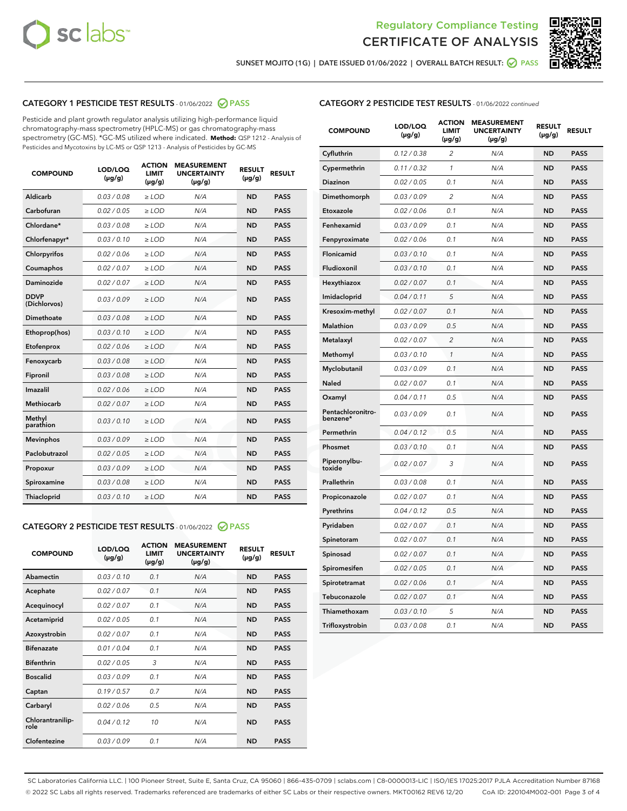



SUNSET MOJITO (1G) | DATE ISSUED 01/06/2022 | OVERALL BATCH RESULT:  $\bigcirc$  PASS

## CATEGORY 1 PESTICIDE TEST RESULTS - 01/06/2022 2 PASS

Pesticide and plant growth regulator analysis utilizing high-performance liquid chromatography-mass spectrometry (HPLC-MS) or gas chromatography-mass spectrometry (GC-MS). \*GC-MS utilized where indicated. **Method:** QSP 1212 - Analysis of Pesticides and Mycotoxins by LC-MS or QSP 1213 - Analysis of Pesticides by GC-MS

| <b>COMPOUND</b>             | LOD/LOQ<br>$(\mu g/g)$ | <b>ACTION</b><br><b>LIMIT</b><br>$(\mu g/g)$ | <b>MEASUREMENT</b><br><b>UNCERTAINTY</b><br>$(\mu g/g)$ | <b>RESULT</b><br>$(\mu g/g)$ | <b>RESULT</b> |
|-----------------------------|------------------------|----------------------------------------------|---------------------------------------------------------|------------------------------|---------------|
| Aldicarb                    | 0.03/0.08              | $>$ LOD                                      | N/A                                                     | <b>ND</b>                    | <b>PASS</b>   |
| Carbofuran                  | 0.02 / 0.05            | $\ge$ LOD                                    | N/A                                                     | <b>ND</b>                    | <b>PASS</b>   |
| Chlordane*                  | 0.03 / 0.08            | $\geq$ LOD                                   | N/A                                                     | <b>ND</b>                    | <b>PASS</b>   |
| Chlorfenapyr*               | 0.03/0.10              | $\ge$ LOD                                    | N/A                                                     | <b>ND</b>                    | <b>PASS</b>   |
| Chlorpyrifos                | 0.02 / 0.06            | $\ge$ LOD                                    | N/A                                                     | <b>ND</b>                    | <b>PASS</b>   |
| Coumaphos                   | 0.02 / 0.07            | $\ge$ LOD                                    | N/A                                                     | <b>ND</b>                    | <b>PASS</b>   |
| Daminozide                  | 0.02/0.07              | $>$ LOD                                      | N/A                                                     | <b>ND</b>                    | <b>PASS</b>   |
| <b>DDVP</b><br>(Dichlorvos) | 0.03/0.09              | $\ge$ LOD                                    | N/A                                                     | <b>ND</b>                    | <b>PASS</b>   |
| <b>Dimethoate</b>           | 0.03/0.08              | $\ge$ LOD                                    | N/A                                                     | <b>ND</b>                    | <b>PASS</b>   |
| Ethoprop(hos)               | 0.03/0.10              | $\ge$ LOD                                    | N/A                                                     | <b>ND</b>                    | <b>PASS</b>   |
| Etofenprox                  | 0.02 / 0.06            | $\ge$ LOD                                    | N/A                                                     | <b>ND</b>                    | <b>PASS</b>   |
| Fenoxycarb                  | 0.03/0.08              | $\ge$ LOD                                    | N/A                                                     | <b>ND</b>                    | <b>PASS</b>   |
| Fipronil                    | 0.03/0.08              | $\ge$ LOD                                    | N/A                                                     | <b>ND</b>                    | <b>PASS</b>   |
| Imazalil                    | 0.02 / 0.06            | $>$ LOD                                      | N/A                                                     | <b>ND</b>                    | <b>PASS</b>   |
| Methiocarb                  | 0.02 / 0.07            | $>$ LOD                                      | N/A                                                     | <b>ND</b>                    | <b>PASS</b>   |
| Methyl<br>parathion         | 0.03/0.10              | $>$ LOD                                      | N/A                                                     | <b>ND</b>                    | <b>PASS</b>   |
| <b>Mevinphos</b>            | 0.03/0.09              | $\ge$ LOD                                    | N/A                                                     | <b>ND</b>                    | <b>PASS</b>   |
| Paclobutrazol               | 0.02 / 0.05            | $>$ LOD                                      | N/A                                                     | <b>ND</b>                    | <b>PASS</b>   |
| Propoxur                    | 0.03/0.09              | $\ge$ LOD                                    | N/A                                                     | <b>ND</b>                    | <b>PASS</b>   |
| Spiroxamine                 | 0.03 / 0.08            | $\ge$ LOD                                    | N/A                                                     | <b>ND</b>                    | <b>PASS</b>   |
| Thiacloprid                 | 0.03/0.10              | $\ge$ LOD                                    | N/A                                                     | <b>ND</b>                    | <b>PASS</b>   |

#### CATEGORY 2 PESTICIDE TEST RESULTS - 01/06/2022 2 PASS

| <b>COMPOUND</b>          | LOD/LOO<br>$(\mu g/g)$ | <b>ACTION</b><br>LIMIT<br>$(\mu g/g)$ | <b>MEASUREMENT</b><br><b>UNCERTAINTY</b><br>$(\mu g/g)$ | <b>RESULT</b><br>$(\mu g/g)$ | <b>RESULT</b> |  |
|--------------------------|------------------------|---------------------------------------|---------------------------------------------------------|------------------------------|---------------|--|
| Abamectin                | 0.03/0.10              | 0.1                                   | N/A                                                     | <b>ND</b>                    | <b>PASS</b>   |  |
| Acephate                 | 0.02/0.07              | 0.1                                   | N/A                                                     | <b>ND</b>                    | <b>PASS</b>   |  |
| Acequinocyl              | 0.02/0.07              | 0.1                                   | N/A                                                     | <b>ND</b>                    | <b>PASS</b>   |  |
| Acetamiprid              | 0.02 / 0.05            | 0.1                                   | N/A                                                     | <b>ND</b>                    | <b>PASS</b>   |  |
| Azoxystrobin             | 0.02/0.07              | 0.1                                   | N/A                                                     | <b>ND</b>                    | <b>PASS</b>   |  |
| <b>Bifenazate</b>        | 0.01 / 0.04            | 0.1                                   | N/A                                                     | <b>ND</b>                    | <b>PASS</b>   |  |
| <b>Bifenthrin</b>        | 0.02/0.05              | 3                                     | N/A                                                     | <b>ND</b>                    | <b>PASS</b>   |  |
| <b>Boscalid</b>          | 0.03/0.09              | 0.1                                   | N/A                                                     | <b>ND</b>                    | <b>PASS</b>   |  |
| Captan                   | 0.19/0.57              | 0.7                                   | N/A                                                     | <b>ND</b>                    | <b>PASS</b>   |  |
| Carbaryl                 | 0.02/0.06              | 0.5                                   | N/A                                                     | <b>ND</b>                    | <b>PASS</b>   |  |
| Chlorantranilip-<br>role | 0.04/0.12              | 10                                    | N/A                                                     | <b>ND</b>                    | <b>PASS</b>   |  |
| Clofentezine             | 0.03/0.09              | 0.1                                   | N/A                                                     | <b>ND</b>                    | <b>PASS</b>   |  |

| <b>COMPOUND</b>               | LOD/LOQ<br>$(\mu g/g)$ | <b>ACTION</b><br>LIMIT<br>(µg/g) | <b>MEASUREMENT</b><br><b>UNCERTAINTY</b><br>(µg/g) | <b>RESULT</b><br>$(\mu g/g)$ | <b>RESULT</b> |
|-------------------------------|------------------------|----------------------------------|----------------------------------------------------|------------------------------|---------------|
| Cyfluthrin                    | 0.12 / 0.38            | $\overline{c}$                   | N/A                                                | <b>ND</b>                    | <b>PASS</b>   |
| Cypermethrin                  | 0.11 / 0.32            | 1                                | N/A                                                | <b>ND</b>                    | <b>PASS</b>   |
| Diazinon                      | 0.02 / 0.05            | 0.1                              | N/A                                                | <b>ND</b>                    | <b>PASS</b>   |
| Dimethomorph                  | 0.03 / 0.09            | $\overline{c}$                   | N/A                                                | <b>ND</b>                    | <b>PASS</b>   |
| Etoxazole                     | 0.02 / 0.06            | 0.1                              | N/A                                                | <b>ND</b>                    | <b>PASS</b>   |
| Fenhexamid                    | 0.03 / 0.09            | 0.1                              | N/A                                                | <b>ND</b>                    | <b>PASS</b>   |
| Fenpyroximate                 | 0.02 / 0.06            | 0.1                              | N/A                                                | <b>ND</b>                    | <b>PASS</b>   |
| Flonicamid                    | 0.03 / 0.10            | 0.1                              | N/A                                                | ND                           | <b>PASS</b>   |
| Fludioxonil                   | 0.03 / 0.10            | 0.1                              | N/A                                                | <b>ND</b>                    | <b>PASS</b>   |
| Hexythiazox                   | 0.02 / 0.07            | 0.1                              | N/A                                                | <b>ND</b>                    | <b>PASS</b>   |
| Imidacloprid                  | 0.04 / 0.11            | 5                                | N/A                                                | <b>ND</b>                    | <b>PASS</b>   |
| Kresoxim-methyl               | 0.02 / 0.07            | 0.1                              | N/A                                                | ND                           | <b>PASS</b>   |
| Malathion                     | 0.03 / 0.09            | 0.5                              | N/A                                                | <b>ND</b>                    | <b>PASS</b>   |
| Metalaxyl                     | 0.02 / 0.07            | $\overline{c}$                   | N/A                                                | <b>ND</b>                    | <b>PASS</b>   |
| Methomyl                      | 0.03 / 0.10            | $\mathcal{I}$                    | N/A                                                | <b>ND</b>                    | <b>PASS</b>   |
| Myclobutanil                  | 0.03/0.09              | 0.1                              | N/A                                                | <b>ND</b>                    | <b>PASS</b>   |
| Naled                         | 0.02 / 0.07            | 0.1                              | N/A                                                | <b>ND</b>                    | <b>PASS</b>   |
| Oxamyl                        | 0.04 / 0.11            | 0.5                              | N/A                                                | ND                           | <b>PASS</b>   |
| Pentachloronitro-<br>benzene* | 0.03 / 0.09            | 0.1                              | N/A                                                | <b>ND</b>                    | <b>PASS</b>   |
| Permethrin                    | 0.04 / 0.12            | 0.5                              | N/A                                                | <b>ND</b>                    | <b>PASS</b>   |
| Phosmet                       | 0.03 / 0.10            | 0.1                              | N/A                                                | <b>ND</b>                    | <b>PASS</b>   |
| Piperonylbu-<br>toxide        | 0.02 / 0.07            | 3                                | N/A                                                | <b>ND</b>                    | <b>PASS</b>   |
| Prallethrin                   | 0.03 / 0.08            | 0.1                              | N/A                                                | ND                           | <b>PASS</b>   |
| Propiconazole                 | 0.02 / 0.07            | 0.1                              | N/A                                                | <b>ND</b>                    | <b>PASS</b>   |
| Pyrethrins                    | 0.04 / 0.12            | 0.5                              | N/A                                                | <b>ND</b>                    | <b>PASS</b>   |
| Pyridaben                     | 0.02 / 0.07            | 0.1                              | N/A                                                | ND                           | PASS          |
| Spinetoram                    | 0.02 / 0.07            | 0.1                              | N/A                                                | <b>ND</b>                    | <b>PASS</b>   |
| Spinosad                      | 0.02 / 0.07            | 0.1                              | N/A                                                | ND                           | <b>PASS</b>   |
| Spiromesifen                  | 0.02 / 0.05            | 0.1                              | N/A                                                | <b>ND</b>                    | PASS          |
| Spirotetramat                 | 0.02 / 0.06            | 0.1                              | N/A                                                | ND                           | PASS          |
| Tebuconazole                  | 0.02 / 0.07            | 0.1                              | N/A                                                | <b>ND</b>                    | <b>PASS</b>   |
| Thiamethoxam                  | 0.03 / 0.10            | 5                                | N/A                                                | <b>ND</b>                    | <b>PASS</b>   |
| Trifloxystrobin               | 0.03 / 0.08            | 0.1                              | N/A                                                | <b>ND</b>                    | <b>PASS</b>   |

SC Laboratories California LLC. | 100 Pioneer Street, Suite E, Santa Cruz, CA 95060 | 866-435-0709 | sclabs.com | C8-0000013-LIC | ISO/IES 17025:2017 PJLA Accreditation Number 87168 © 2022 SC Labs all rights reserved. Trademarks referenced are trademarks of either SC Labs or their respective owners. MKT00162 REV6 12/20 CoA ID: 220104M002-001 Page 3 of 4